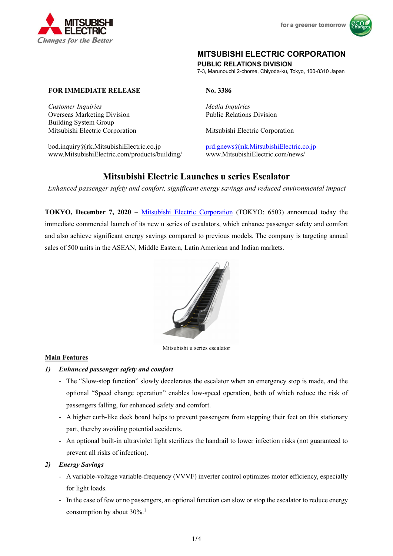

# **MITSUBISHI ELECTRIC CORPORATION PUBLIC RELATIONS DIVISION**

7-3, Marunouchi 2-chome, Chiyoda-ku, Tokyo, 100-8310 Japan

# **FOR IMMEDIATE RELEASE** No. 3386

*Customer Inquiries* and *Media Inquiries* Overseas Marketing Division Building System Group

bod.inquiry@rk.MitsubishiElectric.co.jp prd.gnews@nk.MitsubishiElectric.co.jp www.MitsubishiElectric.com/products/building/ www.MitsubishiElectric.com/news/

Public Relations Division

Mitsubishi Electric Corporation Mitsubishi Electric Corporation

# **Mitsubishi Electric Launches u series Escalator**

*Enhanced passenger safety and comfort, significant energy savings and reduced environmental impact* 

**TOKYO, December 7, 2020** – Mitsubishi Electric Corporation (TOKYO: 6503) announced today the immediate commercial launch of its new u series of escalators, which enhance passenger safety and comfort and also achieve significant energy savings compared to previous models. The company is targeting annual sales of 500 units in the ASEAN, Middle Eastern, Latin American and Indian markets.



Mitsubishi u series escalator

## **Main Features**

## *1) Enhanced passenger safety and comfort*

- The "Slow-stop function" slowly decelerates the escalator when an emergency stop is made, and the optional "Speed change operation" enables low-speed operation, both of which reduce the risk of passengers falling, for enhanced safety and comfort.
- A higher curb-like deck board helps to prevent passengers from stepping their feet on this stationary part, thereby avoiding potential accidents.
- An optional built-in ultraviolet light sterilizes the handrail to lower infection risks (not guaranteed to prevent all risks of infection).

## *2) Energy Savings*

- A variable-voltage variable-frequency (VVVF) inverter control optimizes motor efficiency, especially for light loads.
- In the case of few or no passengers, an optional function can slow or stop the escalator to reduce energy consumption by about  $30\%$ <sup>1</sup>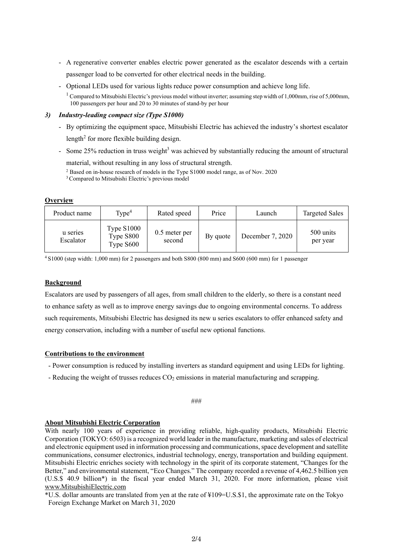- A regenerative converter enables electric power generated as the escalator descends with a certain passenger load to be converted for other electrical needs in the building.
- Optional LEDs used for various lights reduce power consumption and achieve long life.

<sup>1</sup> Compared to Mitsubishi Electric's previous model without inverter; assuming step width of 1,000mm, rise of 5,000mm, 100 passengers per hour and 20 to 30 minutes of stand-by per hour

#### *3) Industry-leading compact size (Type S1000)*

- By optimizing the equipment space, Mitsubishi Electric has achieved the industry's shortest escalator length<sup>2</sup> for more flexible building design.
- Some 25% reduction in truss weight<sup>3</sup> was achieved by substantially reducing the amount of structural

material, without resulting in any loss of structural strength.

#### **Overview**

| Product name          | Type <sup>4</sup>                      | Rated speed               | Price    | Launch           | <b>Targeted Sales</b> |
|-----------------------|----------------------------------------|---------------------------|----------|------------------|-----------------------|
| u series<br>Escalator | Type $S1000$<br>Type S800<br>Type S600 | $0.5$ meter per<br>second | By quote | December 7, 2020 | 500 units<br>per year |

4 S1000 (step width: 1,000 mm) for 2 passengers and both S800 (800 mm) and S600 (600 mm) for 1 passenger

## **Background**

Escalators are used by passengers of all ages, from small children to the elderly, so there is a constant need to enhance safety as well as to improve energy savings due to ongoing environmental concerns. To address such requirements, Mitsubishi Electric has designed its new u series escalators to offer enhanced safety and energy conservation, including with a number of useful new optional functions.

## **Contributions to the environment**

- Power consumption is reduced by installing inverters as standard equipment and using LEDs for lighting.

- Reducing the weight of trusses reduces  $CO<sub>2</sub>$  emissions in material manufacturing and scrapping.

###

## **About Mitsubishi Electric Corporation**

With nearly 100 years of experience in providing reliable, high-quality products, Mitsubishi Electric Corporation (TOKYO: 6503) is a recognized world leader in the manufacture, marketing and sales of electrical and electronic equipment used in information processing and communications, space development and satellite communications, consumer electronics, industrial technology, energy, transportation and building equipment. Mitsubishi Electric enriches society with technology in the spirit of its corporate statement, "Changes for the Better," and environmental statement, "Eco Changes." The company recorded a revenue of 4,462.5 billion yen (U.S.\$ 40.9 billion\*) in the fiscal year ended March 31, 2020. For more information, please visit www.MitsubishiElectric.com

\*U.S. dollar amounts are translated from yen at the rate of ¥109=U.S.\$1, the approximate rate on the Tokyo Foreign Exchange Market on March 31, 2020

<sup>2</sup> Based on in-house research of models in the Type S1000 model range, as of Nov. 2020 <sup>3</sup> Compared to Mitsubishi Electric's previous model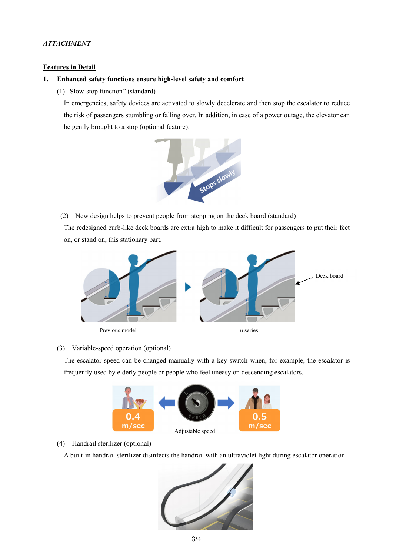# *ATTACHMENT*

#### **Features in Detail**

#### **1. Enhanced safety functions ensure high-level safety and comfort**

(1) "Slow-stop function" (standard)

In emergencies, safety devices are activated to slowly decelerate and then stop the escalator to reduce the risk of passengers stumbling or falling over. In addition, in case of a power outage, the elevator can be gently brought to a stop (optional feature).



(2) New design helps to prevent people from stepping on the deck board (standard)

The redesigned curb-like deck boards are extra high to make it difficult for passengers to put their feet on, or stand on, this stationary part.



#### (3) Variable-speed operation (optional)

The escalator speed can be changed manually with a key switch when, for example, the escalator is frequently used by elderly people or people who feel uneasy on descending escalators.



#### (4) Handrail sterilizer (optional)

A built-in handrail sterilizer disinfects the handrail with an ultraviolet light during escalator operation.